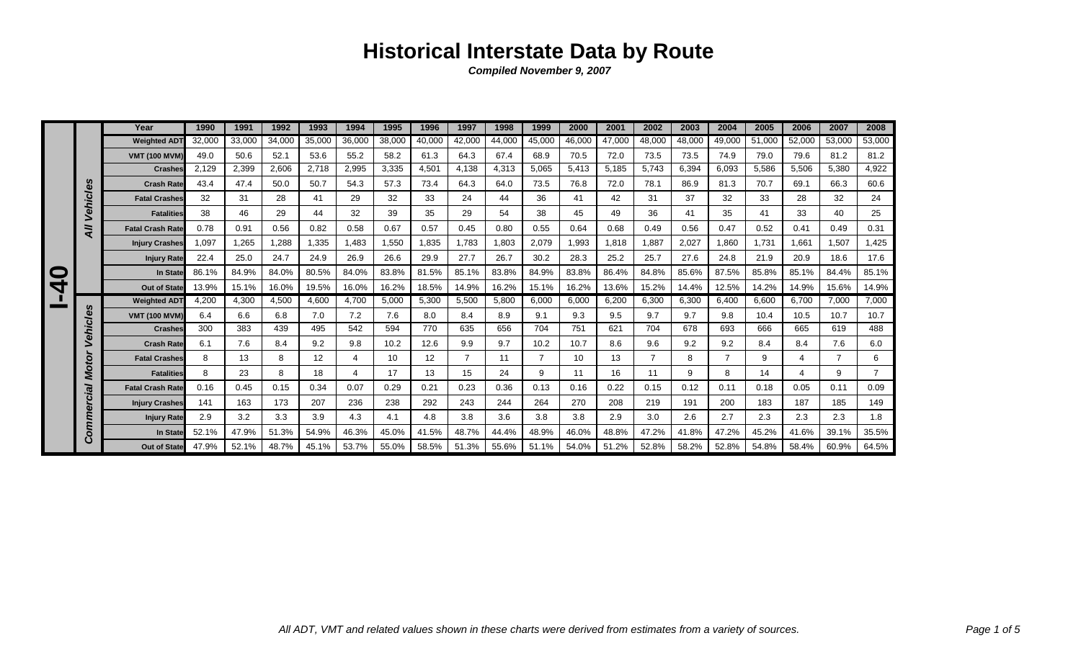|   |                 | Year                    | 1990   | 1991   | 1992   | 1993   | 1994   | 1995   | 1996   | 1997           | 1998   | 1999   | 2000   | 2001   | 2002   | 2003   | 2004           | 2005   | 2006   | 2007   | 2008           |
|---|-----------------|-------------------------|--------|--------|--------|--------|--------|--------|--------|----------------|--------|--------|--------|--------|--------|--------|----------------|--------|--------|--------|----------------|
|   |                 | <b>Weighted ADT</b>     | 32,000 | 33,000 | 34,000 | 35,000 | 36,000 | 38,000 | 40,000 | 42,000         | 44,000 | 45,000 | 46,000 | 47,000 | 48,000 | 48,000 | 49,000         | 51,000 | 52,000 | 53,000 | 53,000         |
|   |                 | <b>VMT (100 MVM)</b>    | 49.0   | 50.6   | 52.1   | 53.6   | 55.2   | 58.2   | 61.3   | 64.3           | 67.4   | 68.9   | 70.5   | 72.0   | 73.5   | 73.5   | 74.9           | 79.0   | 79.6   | 81.2   | 81.2           |
|   |                 | <b>Crashes</b>          | 2,129  | 2,399  | 2,606  | 2,718  | 2,995  | 3,335  | 4,501  | 4,138          | 4,313  | 5,065  | 5,413  | 5,185  | 5,743  | 6,394  | 6,093          | 5,586  | 5,506  | 5,380  | 4,922          |
|   |                 | <b>Crash Rate</b>       | 43.4   | 47.4   | 50.0   | 50.7   | 54.3   | 57.3   | 73.4   | 64.3           | 64.0   | 73.5   | 76.8   | 72.0   | 78.1   | 86.9   | 81.3           | 70.7   | 69.1   | 66.3   | 60.6           |
|   | ehicles         | <b>Fatal Crashes</b>    | 32     | 31     | 28     | 41     | 29     | 32     | 33     | 24             | 44     | 36     | 41     | 42     | 31     | 37     | 32             | 33     | 28     | 32     | 24             |
|   | ↘               | <b>Fatalities</b>       | 38     | 46     | 29     | 44     | 32     | 39     | 35     | 29             | 54     | 38     | 45     | 49     | 36     | 41     | 35             | 41     | 33     | 40     | 25             |
|   | ゠<br>⋖          | <b>Fatal Crash Rate</b> | 0.78   | 0.91   | 0.56   | 0.82   | 0.58   | 0.67   | 0.57   | 0.45           | 0.80   | 0.55   | 0.64   | 0.68   | 0.49   | 0.56   | 0.47           | 0.52   | 0.41   | 0.49   | 0.31           |
|   |                 | <b>Injury Crashes</b>   | 1,097  | 1.265  | 1,288  | 1,335  | .483   | 1,550  | 1,835  | 1,783          | 1,803  | 2,079  | 1,993  | 1,818  | 1.887  | 2,027  | 1,860          | 1.731  | 1,661  | 1,507  | 1,425          |
|   |                 | <b>Injury Rate</b>      | 22.4   | 25.0   | 24.7   | 24.9   | 26.9   | 26.6   | 29.9   | 27.7           | 26.7   | 30.2   | 28.3   | 25.2   | 25.7   | 27.6   | 24.8           | 21.9   | 20.9   | 18.6   | 17.6           |
| O |                 | In State                | 86.1%  | 84.9%  | 84.0%  | 80.5%  | 84.0%  | 83.8%  | 81.5%  | 85.1%          | 83.8%  | 84.9%  | 83.8%  | 86.4%  | 84.8%  | 85.6%  | 87.5%          | 85.8%  | 85.1%  | 84.4%  | 85.1%          |
| 4 |                 | <b>Out of State</b>     | 13.9%  | 15.1%  | 16.0%  | 19.5%  | 16.0%  | 16.2%  | 18.5%  | 14.9%          | 16.2%  | 15.1%  | 16.2%  | 13.6%  | 15.2%  | 14.4%  | 12.5%          | 14.2%  | 14.9%  | 15.6%  | 14.9%          |
|   |                 | <b>Weighted ADT</b>     | 4.200  | 4,300  | 4,500  | 4,600  | 4.700  | 5,000  | 5,300  | 5,500          | 5,800  | 6,000  | 6,000  | 6,200  | 6,300  | 6,300  | 6,400          | 6.600  | 6,700  | 7,000  | 7,000          |
|   | <b>Vehicles</b> | <b>VMT (100 MVM)</b>    | 6.4    | 6.6    | 6.8    | 7.0    | 7.2    | 7.6    | 8.0    | 8.4            | 8.9    | 9.1    | 9.3    | 9.5    | 9.7    | 9.7    | 9.8            | 10.4   | 10.5   | 10.7   | 10.7           |
|   |                 | <b>Crashes</b>          | 300    | 383    | 439    | 495    | 542    | 594    | 770    | 635            | 656    | 704    | 751    | 621    | 704    | 678    | 693            | 666    | 665    | 619    | 488            |
|   |                 | <b>Crash Rate</b>       | 6.1    | 7.6    | 8.4    | 9.2    | 9.8    | 10.2   | 12.6   | 9.9            | 9.7    | 10.2   | 10.7   | 8.6    | 9.6    | 9.2    | 9.2            | 8.4    | 8.4    | 7.6    | 6.0            |
|   | š               | <b>Fatal Crashes</b>    | 8      | 13     | 8      | 12     | 4      | 10     | 12     | $\overline{7}$ | 11     | 7      | 10     | 13     | 7      | 8      | $\overline{7}$ | 9      | 4      |        | 6              |
|   | $\bullet$<br>⋚  | <b>Fatalities</b>       | 8      | 23     | 8      | 18     | 4      | 17     | 13     | 15             | 24     | 9      | 11     | 16     | 11     | 9      | 8              | 14     | 4      | 9      | $\overline{7}$ |
|   | leio            | <b>Fatal Crash Rate</b> | 0.16   | 0.45   | 0.15   | 0.34   | 0.07   | 0.29   | 0.21   | 0.23           | 0.36   | 0.13   | 0.16   | 0.22   | 0.15   | 0.12   | 0.11           | 0.18   | 0.05   | 0.11   | 0.09           |
|   |                 | <b>Injury Crashes</b>   | 141    | 163    | 173    | 207    | 236    | 238    | 292    | 243            | 244    | 264    | 270    | 208    | 219    | 191    | 200            | 183    | 187    | 185    | 149            |
|   | me              | <b>Injury Rate</b>      | 2.9    | 3.2    | 3.3    | 3.9    | 4.3    | 4.1    | 4.8    | 3.8            | 3.6    | 3.8    | 3.8    | 2.9    | 3.0    | 2.6    | 2.7            | 2.3    | 2.3    | 2.3    | 1.8            |
|   | Com             | In State                | 52.1%  | 47.9%  | 51.3%  | 54.9%  | 46.3%  | 45.0%  | 41.5%  | 48.7%          | 44.4%  | 48.9%  | 46.0%  | 48.8%  | 47.2%  | 41.8%  | 47.2%          | 45.2%  | 41.6%  | 39.1%  | 35.5%          |
|   |                 | Out of State            | 47.9%  | 52.1%  | 48.7%  | 45.1%  | 53.7%  | 55.0%  | 58.5%  | 51.3%          | 55.6%  | 51.1%  | 54.0%  | 51.2%  | 52.8%  | 58.2%  | 52.8%          | 54.8%  | 58.4%  | 60.9%  | 64.5%          |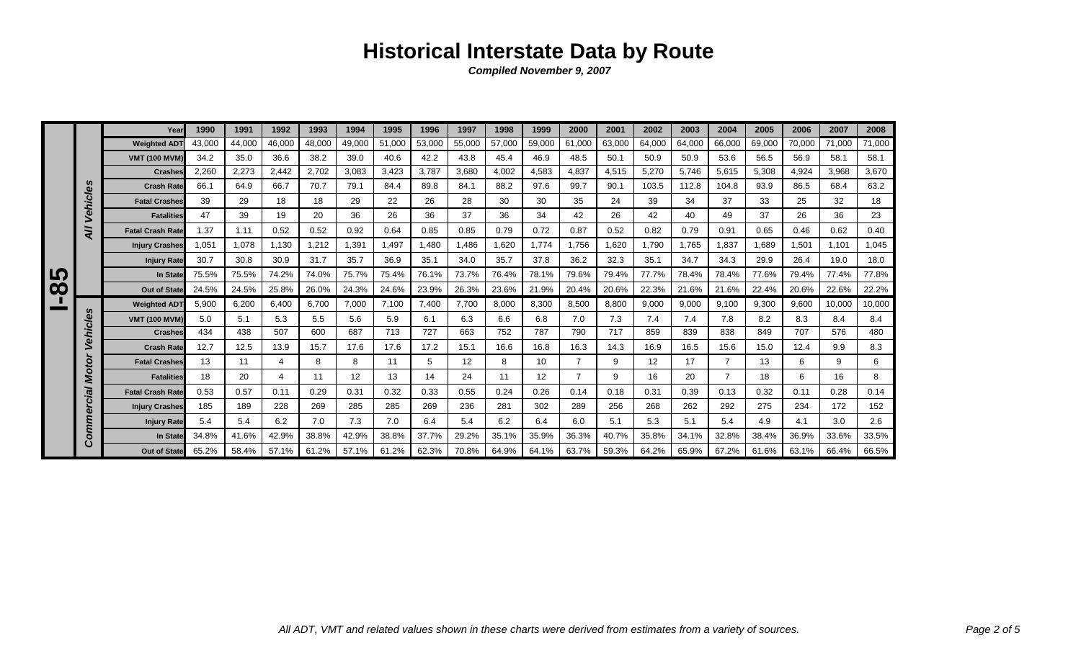|                       |              | Year                    | 1990   | 1991   | 1992           | 1993   | 1994   | 1995   | 1996   | 1997   | 1998   | 1999   | 2000           | 2001   | 2002              | 2003   | 2004           | 2005   | 2006   | 2007   | 2008   |
|-----------------------|--------------|-------------------------|--------|--------|----------------|--------|--------|--------|--------|--------|--------|--------|----------------|--------|-------------------|--------|----------------|--------|--------|--------|--------|
|                       |              | <b>Weighted AD1</b>     | 43,000 | 44,000 | 46,000         | 48,000 | 49,000 | 51,000 | 53,000 | 55,000 | 57,000 | 59,000 | 61,000         | 63,000 | 64,000            | 64,000 | 66,000         | 69,000 | 70,000 | 71,000 | 71,000 |
|                       |              | <b>VMT (100 MVM)</b>    | 34.2   | 35.0   | 36.6           | 38.2   | 39.0   | 40.6   | 42.2   | 43.8   | 45.4   | 46.9   | 48.5           | 50.1   | 50.9              | 50.9   | 53.6           | 56.5   | 56.9   | 58.1   | 58.1   |
|                       |              | <b>Crashes</b>          | 2,260  | 2,273  | 2,442          | 2,702  | 3,083  | 3,423  | 3.787  | 3,680  | 4,002  | 4,583  | 4.837          | 4,515  | 5,270             | 5.746  | 5,615          | 5,308  | 4,924  | 3,968  | 3,670  |
|                       | n            | <b>Crash Rate</b>       | 66.1   | 64.9   | 66.7           | 70.7   | 79.1   | 84.4   | 89.8   | 84.1   | 88.2   | 97.6   | 99.7           | 90.1   | 103.5             | 112.8  | 104.8          | 93.9   | 86.5   | 68.4   | 63.2   |
|                       | ehicle       | <b>Fatal Crashes</b>    | 39     | 29     | 18             | 18     | 29     | 22     | 26     | 28     | 30     | 30     | 35             | 24     | 39                | 34     | 37             | 33     | 25     | 32     | 18     |
|                       |              | <b>Fatalities</b>       | 47     | 39     | 19             | 20     | 36     | 26     | 36     | 37     | 36     | 34     | 42             | 26     | 42                | 40     | 49             | 37     | 26     | 36     | 23     |
|                       | āν           | <b>Fatal Crash Rate</b> | 1.37   | 1.11   | 0.52           | 0.52   | 0.92   | 0.64   | 0.85   | 0.85   | 0.79   | 0.72   | 0.87           | 0.52   | 0.82              | 0.79   | 0.91           | 0.65   | 0.46   | 0.62   | 0.40   |
|                       |              | <b>Injury Crashes</b>   | 1.051  | 1.078  | 1.130          | 1,212  | 1,391  | 1.497  | 1,480  | 1.486  | 1.620  | 1.774  | 1.756          | 1,620  | 1,790             | 1.765  | 1,837          | 1.689  | 1,501  | 1.101  | 1.045  |
|                       |              | <b>Injury Rate</b>      | 30.7   | 30.8   | 30.9           | 31.7   | 35.7   | 36.9   | 35.1   | 34.0   | 35.7   | 37.8   | 36.2           | 32.3   | 35.1              | 34.7   | 34.3           | 29.9   | 26.4   | 19.0   | 18.0   |
| <u> ဟ</u>             |              | <b>In State</b>         | 75.5%  | 75.5%  | 74.2%          | 74.0%  | 75.7%  | 75.4%  | 76.1%  | 73.7%  | 76.4%  | 78.1%  | 79.6%          | 79.4%  | 77.7%             | 78.4%  | 78.4%          | 77.6%  | 79.4%  | 77.4%  | 77.8%  |
| $\boldsymbol{\infty}$ |              | <b>Out of State</b>     | 24.5%  | 24.5%  | 25.8%          | 26.0%  | 24.3%  | 24.6%  | 23.9%  | 26.3%  | 23.6%  | 21.9%  | 20.4%          | 20.6%  | 22.3%             | 21.6%  | 21.6%          | 22.4%  | 20.6%  | 22.6%  | 22.2%  |
|                       | n            | <b>Weighted ADT</b>     | 5,900  | 6,200  | 6,400          | 6,700  | 7,000  | 7,100  | 7,400  | 7,700  | 8,000  | 8,300  | 8,500          | 8,800  | 9,000             | 9,000  | 9,100          | 9,300  | 9,600  | 10,000 | 10,000 |
|                       | c/e          | <b>VMT (100 MVM)</b>    | 5.0    | 5.1    | 5.3            | 5.5    | 5.6    | 5.9    | 6.1    | 6.3    | 6.6    | 6.8    | 7.0            | 7.3    | 7.4               | 7.4    | 7.8            | 8.2    | 8.3    | 8.4    | 8.4    |
|                       | Vehi         | <b>Crashes</b>          | 434    | 438    | 507            | 600    | 687    | 713    | 727    | 663    | 752    | 787    | 790            | 717    | 859               | 839    | 838            | 849    | 707    | 576    | 480    |
|                       |              | <b>Crash Rate</b>       | 12.7   | 12.5   | 13.9           | 15.7   | 17.6   | 17.6   | 17.2   | 15.1   | 16.6   | 16.8   | 16.3           | 14.3   | 16.9              | 16.5   | 15.6           | 15.0   | 12.4   | 9.9    | 8.3    |
|                       | otor         | <b>Fatal Crashes</b>    | 13     | 11     | $\overline{4}$ | 8      | 8      | 11     | 5      | 12     | 8      | 10     | $\overline{7}$ | 9      | $12 \overline{ }$ | 17     | $\overline{7}$ | 13     | 6      | 9      | 6      |
|                       | ≥            | <b>Fatalities</b>       | 18     | 20     | $\overline{4}$ | 11     | 12     | 13     | 14     | 24     | 11     | 12     | $\overline{ }$ | 9      | 16                | 20     | $\overline{7}$ | 18     | 6      | 16     | 8      |
|                       | $\vec{v}$    | <b>Fatal Crash Rate</b> | 0.53   | 0.57   | 0.11           | 0.29   | 0.31   | 0.32   | 0.33   | 0.55   | 0.24   | 0.26   | 0.14           | 0.18   | 0.31              | 0.39   | 0.13           | 0.32   | 0.11   | 0.28   | 0.14   |
|                       | ပ<br>Φ       | <b>Injury Crashes</b>   | 185    | 189    | 228            | 269    | 285    | 285    | 269    | 236    | 281    | 302    | 289            | 256    | 268               | 262    | 292            | 275    | 234    | 172    | 152    |
|                       | uuu)         | <b>Injury Rate</b>      | 5.4    | 5.4    | 6.2            | 7.0    | 7.3    | 7.0    | 6.4    | 5.4    | 6.2    | 6.4    | 6.0            | 5.1    | 5.3               | 5.1    | 5.4            | 4.9    | 4.1    | 3.0    | 2.6    |
|                       | $\circ$<br>Ő | In State                | 34.8%  | 41.6%  | 42.9%          | 38.8%  | 42.9%  | 38.8%  | 37.7%  | 29.2%  | 35.1%  | 35.9%  | 36.3%          | 40.7%  | 35.8%             | 34.1%  | 32.8%          | 38.4%  | 36.9%  | 33.6%  | 33.5%  |
|                       |              | <b>Out of State</b>     | 65.2%  | 58.4%  | 57.1%          | 61.2%  | 57.1%  | 61.2%  | 62.3%  | 70.8%  | 64.9%  | 64.1%  | 63.7%          | 59.3%  | 64.2%             | 65.9%  | 67.2%          | 61.6%  | 63.1%  | 66.4%  | 66.5%  |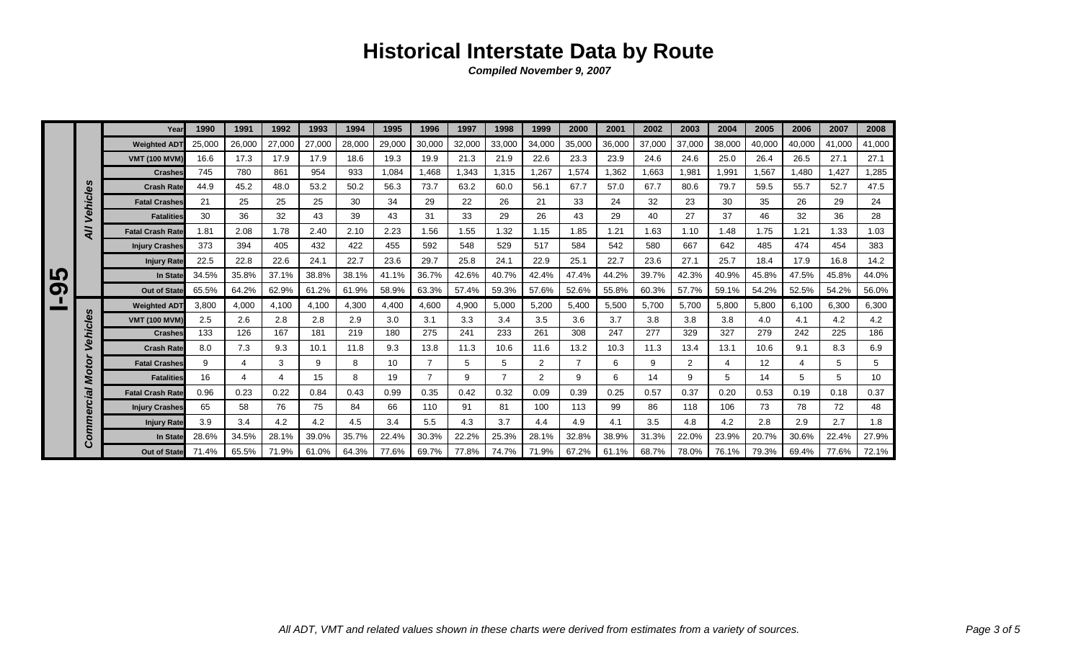|   |          | Year                    | 1990   | 1991   | 1992   | 1993   | 1994   | 1995   | 1996           | 1997   | 1998           | 1999   | 2000           | 2001   | 2002   | 2003   | 2004   | 2005   | 2006   | 2007   | 2008   |
|---|----------|-------------------------|--------|--------|--------|--------|--------|--------|----------------|--------|----------------|--------|----------------|--------|--------|--------|--------|--------|--------|--------|--------|
|   |          | <b>Weighted ADT</b>     | 25,000 | 26,000 | 27,000 | 27,000 | 28,000 | 29,000 | 30,000         | 32,000 | 33,000         | 34,000 | 35,000         | 36,000 | 37,000 | 37,000 | 38,000 | 40,000 | 40,000 | 41,000 | 41,000 |
|   |          | <b>VMT (100 MVM)</b>    | 16.6   | 17.3   | 17.9   | 17.9   | 18.6   | 19.3   | 19.9           | 21.3   | 21.9           | 22.6   | 23.3           | 23.9   | 24.6   | 24.6   | 25.0   | 26.4   | 26.5   | 27.1   | 27.1   |
|   |          | <b>Crashes</b>          | 745    | 780    | 861    | 954    | 933    | 1,084  | 1.468          | 1.343  | 1,315          | 1,267  | 1.574          | 1,362  | 1,663  | 1,981  | 1,991  | 1,567  | 1.480  | 1,427  | 1,285  |
|   | n        | <b>Crash Rate</b>       | 44.9   | 45.2   | 48.0   | 53.2   | 50.2   | 56.3   | 73.7           | 63.2   | 60.0           | 56.1   | 67.7           | 57.0   | 67.7   | 80.6   | 79.7   | 59.5   | 55.7   | 52.7   | 47.5   |
|   | Vehicle  | <b>Fatal Crashes</b>    | 21     | 25     | 25     | 25     | 30     | 34     | 29             | 22     | 26             | 21     | 33             | 24     | 32     | 23     | 30     | 35     | 26     | 29     | 24     |
|   |          | <b>Fatalities</b>       | 30     | 36     | 32     | 43     | 39     | 43     | 31             | 33     | 29             | 26     | 43             | 29     | 40     | 27     | 37     | 46     | 32     | 36     | 28     |
|   | =<br>⋖   | <b>Fatal Crash Rate</b> | 1.81   | 2.08   | 1.78   | 2.40   | 2.10   | 2.23   | 1.56           | 1.55   | 1.32           | 1.15   | 1.85           | 1.21   | 1.63   | 1.10   | 1.48   | 1.75   | 1.21   | 1.33   | 1.03   |
|   |          | <b>Injury Crashes</b>   | 373    | 394    | 405    | 432    | 422    | 455    | 592            | 548    | 529            | 517    | 584            | 542    | 580    | 667    | 642    | 485    | 474    | 454    | 383    |
|   |          | <b>Injury Rate</b>      | 22.5   | 22.8   | 22.6   | 24.1   | 22.7   | 23.6   | 29.7           | 25.8   | 24.1           | 22.9   | 25.1           | 22.7   | 23.6   | 27.1   | 25.7   | 18.4   | 17.9   | 16.8   | 14.2   |
| い |          | In State                | 34.5%  | 35.8%  | 37.1%  | 38.8%  | 38.1%  | 41.1%  | 36.7%          | 42.6%  | 40.7%          | 42.4%  | 47.4%          | 44.2%  | 39.7%  | 42.3%  | 40.9%  | 45.8%  | 47.5%  | 45.8%  | 44.0%  |
| တ |          | <b>Out of State</b>     | 65.5%  | 64.2%  | 62.9%  | 61.2%  | 61.9%  | 58.9%  | 63.3%          | 57.4%  | 59.3%          | 57.6%  | 52.6%          | 55.8%  | 60.3%  | 57.7%  | 59.1%  | 54.2%  | 52.5%  | 54.2%  | 56.0%  |
|   |          | <b>Weighted ADT</b>     | 3.800  | 4,000  | 4.100  | 4,100  | 4,300  | 4,400  | 4,600          | 4,900  | 5,000          | 5,200  | 5,400          | 5,500  | 5.700  | 5,700  | 5,800  | 5,800  | 6.100  | 6,300  | 6,300  |
|   | Vehicles | <b>VMT (100 MVM)</b>    | 2.5    | 2.6    | 2.8    | 2.8    | 2.9    | 3.0    | 3.1            | 3.3    | 3.4            | 3.5    | 3.6            | 3.7    | 3.8    | 3.8    | 3.8    | 4.0    | 4.1    | 4.2    | 4.2    |
|   |          | <b>Crashes</b>          | 133    | 126    | 167    | 181    | 219    | 180    | 275            | 241    | 233            | 261    | 308            | 247    | 277    | 329    | 327    | 279    | 242    | 225    | 186    |
|   |          | <b>Crash Rate</b>       | 8.0    | 7.3    | 9.3    | 10.1   | 11.8   | 9.3    | 13.8           | 11.3   | 10.6           | 11.6   | 13.2           | 10.3   | 11.3   | 13.4   | 13.1   | 10.6   | 9.1    | 8.3    | 6.9    |
|   | Motor    | <b>Fatal Crashes</b>    | 9      | 4      | 3      | 9      | 8      | 10     | $\overline{7}$ | 5      | 5              | 2      | $\overline{ }$ | 6      | 9      | 2      | 4      | 12     | 4      | 5      | 5      |
|   |          | <b>Fatalities</b>       | 16     | 4      | 4      | 15     | 8      | 19     | $\overline{7}$ | 9      | $\overline{7}$ | 2      | 9              | 6      | 14     | 9      | 5      | 14     | 5      | 5      | 10     |
|   | lāl      | <b>Fatal Crash Rate</b> | 0.96   | 0.23   | 0.22   | 0.84   | 0.43   | 0.99   | 0.35           | 0.42   | 0.32           | 0.09   | 0.39           | 0.25   | 0.57   | 0.37   | 0.20   | 0.53   | 0.19   | 0.18   | 0.37   |
|   | 5        | <b>Injury Crashes</b>   | 65     | 58     | 76     | 75     | 84     | 66     | 110            | 91     | 81             | 100    | 113            | 99     | 86     | 118    | 106    | 73     | 78     | 72     | 48     |
|   |          | <b>Injury Rate</b>      | 3.9    | 3.4    | 4.2    | 4.2    | 4.5    | 3.4    | 5.5            | 4.3    | 3.7            | 4.4    | 4.9            | 4.1    | 3.5    | 4.8    | 4.2    | 2.8    | 2.9    | 2.7    | 1.8    |
|   | Comme    | In State                | 28.6%  | 34.5%  | 28.1%  | 39.0%  | 35.7%  | 22.4%  | 30.3%          | 22.2%  | 25.3%          | 28.1%  | 32.8%          | 38.9%  | 31.3%  | 22.0%  | 23.9%  | 20.7%  | 30.6%  | 22.4%  | 27.9%  |
|   |          | <b>Out of State</b>     | 71.4%  | 65.5%  | 71.9%  | 61.0%  | 64.3%  | 77.6%  | 69.7%          | 77.8%  | 74.7%          | 71.9%  | 67.2%          | 61.1%  | 68.7%  | 78.0%  | 76.1%  | 79.3%  | 69.4%  | 77.6%  | 72.1%  |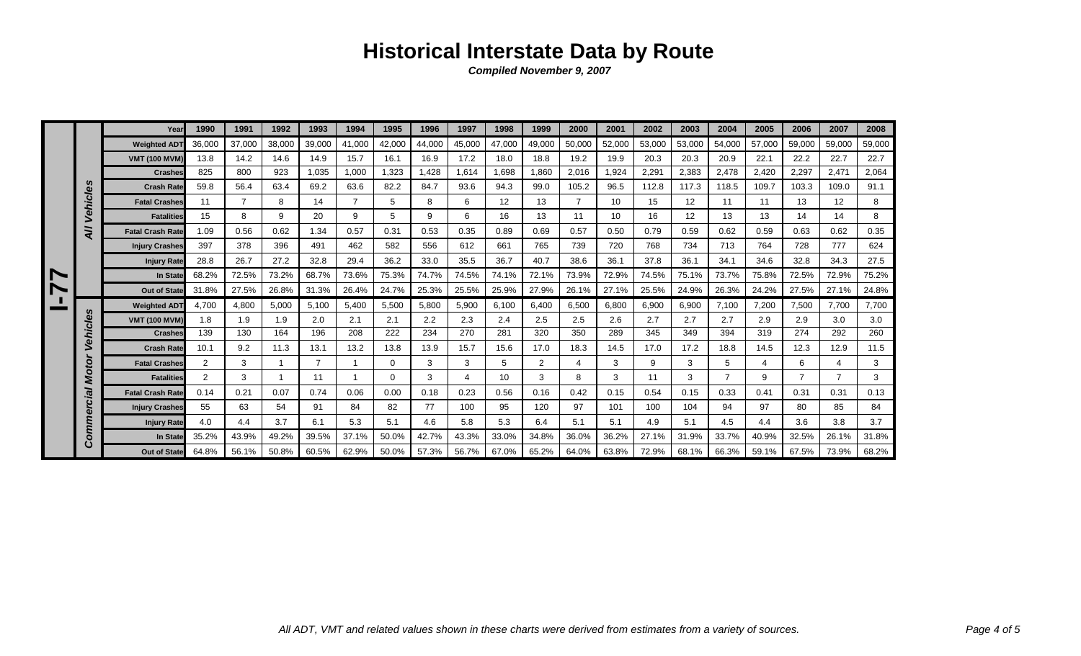|   |         | Year                    | 1990   | 1991           | 1992   | 1993           | 1994           | 1995   | 1996   | 1997   | 1998   | 1999   | 2000   | 2001   | 2002   | 2003   | 2004           | 2005   | 2006           | 2007            | 2008   |
|---|---------|-------------------------|--------|----------------|--------|----------------|----------------|--------|--------|--------|--------|--------|--------|--------|--------|--------|----------------|--------|----------------|-----------------|--------|
|   |         | <b>Weighted ADT</b>     | 36,000 | 37,000         | 38,000 | 39,000         | 41,000         | 42.000 | 44,000 | 45,000 | 47.000 | 49,000 | 50,000 | 52,000 | 53,000 | 53,000 | 54,000         | 57.000 | 59,000         | 59,000          | 59,000 |
|   |         | <b>VMT (100 MVM</b>     | 13.8   | 14.2           | 14.6   | 14.9           | 15.7           | 16.1   | 16.9   | 17.2   | 18.0   | 18.8   | 19.2   | 19.9   | 20.3   | 20.3   | 20.9           | 22.1   | 22.2           | 22.7            | 22.7   |
|   |         | <b>Crashes</b>          | 825    | 800            | 923    | 1,035          | 1,000          | 1,323  | 1,428  | 1.614  | 1,698  | 1.860  | 2,016  | 1,924  | 2,291  | 2,383  | 2,478          | 2,420  | 2,297          | 2,471           | 2,064  |
|   |         | <b>Crash Rate</b>       | 59.8   | 56.4           | 63.4   | 69.2           | 63.6           | 82.2   | 84.7   | 93.6   | 94.3   | 99.0   | 105.2  | 96.5   | 112.8  | 117.3  | 118.5          | 109.7  | 103.3          | 109.0           | 91.1   |
|   | Vehicle | <b>Fatal Crashes</b>    | 11     | $\overline{7}$ | 8      | 14             | $\overline{7}$ | 5      | 8      | 6      | 12     | 13     |        | 10     | 15     | 12     | 11             | 11     | 13             | 12 <sup>2</sup> | 8      |
|   |         | <b>Fatalities</b>       | 15     | 8              | 9      | 20             | 9              | 5      | 9      | 6      | 16     | 13     | 11     | 10     | 16     | 12     | 13             | 13     | 14             | 14              | 8      |
|   | =<br>⋖  | <b>Fatal Crash Rate</b> | 1.09   | 0.56           | 0.62   | 1.34           | 0.57           | 0.31   | 0.53   | 0.35   | 0.89   | 0.69   | 0.57   | 0.50   | 0.79   | 0.59   | 0.62           | 0.59   | 0.63           | 0.62            | 0.35   |
|   |         | <b>Injury Crashes</b>   | 397    | 378            | 396    | 491            | 462            | 582    | 556    | 612    | 661    | 765    | 739    | 720    | 768    | 734    | 713            | 764    | 728            | 777             | 624    |
|   |         | <b>Injury Rate</b>      | 28.8   | 26.7           | 27.2   | 32.8           | 29.4           | 36.2   | 33.0   | 35.5   | 36.7   | 40.7   | 38.6   | 36.1   | 37.8   | 36.1   | 34.1           | 34.6   | 32.8           | 34.3            | 27.5   |
| N |         | In State                | 68.2%  | 72.5%          | 73.2%  | 68.7%          | 73.6%          | 75.3%  | 74.7%  | 74.5%  | 74.1%  | 72.1%  | 73.9%  | 72.9%  | 74.5%  | 75.1%  | 73.7%          | 75.8%  | 72.5%          | 72.9%           | 75.2%  |
| N |         | <b>Out of State</b>     | 31.8%  | 27.5%          | 26.8%  | 31.3%          | 26.4%          | 24.7%  | 25.3%  | 25.5%  | 25.9%  | 27.9%  | 26.1%  | 27.1%  | 25.5%  | 24.9%  | 26.3%          | 24.2%  | 27.5%          | 27.1%           | 24.8%  |
|   | n       | <b>Weighted ADT</b>     | 4.700  | 4,800          | 5,000  | 5,100          | 5,400          | 5,500  | 5,800  | 5,900  | 6,100  | 6,400  | 6,500  | 6,800  | 6,900  | 6,900  | 7,100          | 7,200  | 7,500          | 7.700           | 7,700  |
|   |         | <b>VMT (100 MVM)</b>    | 1.8    | 1.9            | 1.9    | 2.0            | 2.1            | 2.1    | 2.2    | 2.3    | 2.4    | 2.5    | 2.5    | 2.6    | 2.7    | 2.7    | 2.7            | 2.9    | 2.9            | 3.0             | 3.0    |
|   | Vehicle | <b>Crashes</b>          | 139    | 130            | 164    | 196            | 208            | 222    | 234    | 270    | 281    | 320    | 350    | 289    | 345    | 349    | 394            | 319    | 274            | 292             | 260    |
|   |         | <b>Crash Rate</b>       | 10.1   | 9.2            | 11.3   | 13.1           | 13.2           | 13.8   | 13.9   | 15.7   | 15.6   | 17.0   | 18.3   | 14.5   | 17.0   | 17.2   | 18.8           | 14.5   | 12.3           | 12.9            | 11.5   |
|   | Motor   | <b>Fatal Crashes</b>    | 2      | 3              | -1     | $\overline{7}$ |                | 0      | 3      | 3      | 5      | 2      | 4      | 3      | 9      | 3      | 5              | 4      | 6              | 4               | 3      |
|   |         | <b>Fatalities</b>       | 2      | 3              | -1     | 11             |                | 0      | 3      | 4      | 10     | 3      | 8      | 3      | 11     | 3      | $\overline{7}$ | 9      | $\overline{7}$ | $\overline{7}$  | 3      |
|   | lāl     | <b>Fatal Crash Rate</b> | 0.14   | 0.21           | 0.07   | 0.74           | 0.06           | 0.00   | 0.18   | 0.23   | 0.56   | 0.16   | 0.42   | 0.15   | 0.54   | 0.15   | 0.33           | 0.41   | 0.31           | 0.31            | 0.13   |
|   | 5       | <b>Injury Crashes</b>   | 55     | 63             | 54     | 91             | 84             | 82     | 77     | 100    | 95     | 120    | 97     | 101    | 100    | 104    | 94             | 97     | 80             | 85              | 84     |
|   | Comme   | <b>Injury Rate</b>      | 4.0    | 4.4            | 3.7    | 6.1            | 5.3            | 5.1    | 4.6    | 5.8    | 5.3    | 6.4    | 5.1    | 5.1    | 4.9    | 5.1    | 4.5            | 4.4    | 3.6            | 3.8             | 3.7    |
|   |         | In State                | 35.2%  | 43.9%          | 49.2%  | 39.5%          | 37.1%          | 50.0%  | 42.7%  | 43.3%  | 33.0%  | 34.8%  | 36.0%  | 36.2%  | 27.1%  | 31.9%  | 33.7%          | 40.9%  | 32.5%          | 26.1%           | 31.8%  |
|   |         | <b>Out of State</b>     | 64.8%  | 56.1%          | 50.8%  | 60.5%          | 62.9%          | 50.0%  | 57.3%  | 56.7%  | 67.0%  | 65.2%  | 64.0%  | 63.8%  | 72.9%  | 68.1%  | 66.3%          | 59.1%  | 67.5%          | 73.9%           | 68.2%  |